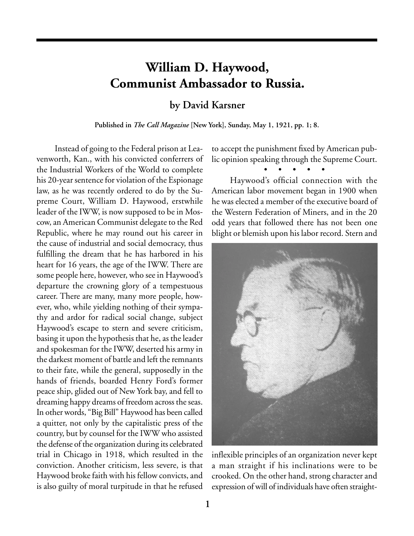## **William D. Haywood, Communist Ambassador to Russia.**

**by David Karsner**

**Published in** *The Call Magazine* **[New York], Sunday, May 1, 1921, pp. 1; 8.**

Instead of going to the Federal prison at Leavenworth, Kan., with his convicted conferrers of the Industrial Workers of the World to complete his 20-year sentence for violation of the Espionage law, as he was recently ordered to do by the Supreme Court, William D. Haywood, erstwhile leader of the IWW, is now supposed to be in Moscow, an American Communist delegate to the Red Republic, where he may round out his career in the cause of industrial and social democracy, thus fulfilling the dream that he has harbored in his heart for 16 years, the age of the IWW. There are some people here, however, who see in Haywood's departure the crowning glory of a tempestuous career. There are many, many more people, however, who, while yielding nothing of their sympathy and ardor for radical social change, subject Haywood's escape to stern and severe criticism, basing it upon the hypothesis that he, as the leader and spokesman for the IWW, deserted his army in the darkest moment of battle and left the remnants to their fate, while the general, supposedly in the hands of friends, boarded Henry Ford's former peace ship, glided out of New York bay, and fell to dreaming happy dreams of freedom across the seas. In other words, "Big Bill" Haywood has been called a quitter, not only by the capitalistic press of the country, but by counsel for the IWW who assisted the defense of the organization during its celebrated trial in Chicago in 1918, which resulted in the conviction. Another criticism, less severe, is that Haywood broke faith with his fellow convicts, and is also guilty of moral turpitude in that he refused

to accept the punishment fixed by American public opinion speaking through the Supreme Court.

• • • • •

Haywood's official connection with the American labor movement began in 1900 when he was elected a member of the executive board of the Western Federation of Miners, and in the 20 odd years that followed there has not been one blight or blemish upon his labor record. Stern and



inflexible principles of an organization never kept a man straight if his inclinations were to be crooked. On the other hand, strong character and expression of will of individuals have often straight-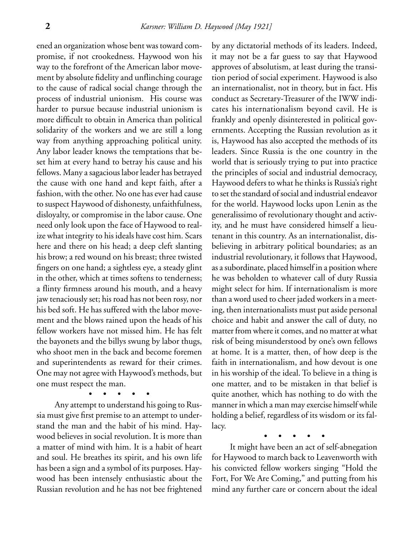ened an organization whose bent was toward compromise, if not crookedness. Haywood won his way to the forefront of the American labor movement by absolute fidelity and unflinching courage to the cause of radical social change through the process of industrial unionism. His course was harder to pursue because industrial unionism is more difficult to obtain in America than political solidarity of the workers and we are still a long way from anything approaching political unity. Any labor leader knows the temptations that beset him at every hand to betray his cause and his fellows. Many a sagacious labor leader has betrayed the cause with one hand and kept faith, after a fashion, with the other. No one has ever had cause to suspect Haywood of dishonesty, unfaithfulness, disloyalty, or compromise in the labor cause. One need only look upon the face of Haywood to realize what integrity to his ideals have cost him. Scars here and there on his head; a deep cleft slanting his brow; a red wound on his breast; three twisted fingers on one hand; a sightless eye, a steady glint in the other, which at times softens to tenderness; a flinty firmness around his mouth, and a heavy jaw tenaciously set; his road has not been rosy, nor his bed soft. He has suffered with the labor movement and the blows rained upon the heads of his fellow workers have not missed him. He has felt the bayonets and the billys swung by labor thugs, who shoot men in the back and become foremen and superintendents as reward for their crimes. One may not agree with Haywood's methods, but one must respect the man.

• • • • • Any attempt to understand his going to Russia must give first premise to an attempt to understand the man and the habit of his mind. Haywood believes in social revolution. It is more than a matter of mind with him. It is a habit of heart and soul. He breathes its spirit, and his own life has been a sign and a symbol of its purposes. Haywood has been intensely enthusiastic about the Russian revolution and he has not bee frightened

by any dictatorial methods of its leaders. Indeed, it may not be a far guess to say that Haywood approves of absolutism, at least during the transition period of social experiment. Haywood is also an internationalist, not in theory, but in fact. His conduct as Secretary-Treasurer of the IWW indicates his internationalism beyond cavil. He is frankly and openly disinterested in political governments. Accepting the Russian revolution as it is, Haywood has also accepted the methods of its leaders. Since Russia is the one country in the world that is seriously trying to put into practice the principles of social and industrial democracy, Haywood defers to what he thinks is Russia's right to set the standard of social and industrial endeavor for the world. Haywood locks upon Lenin as the generalissimo of revolutionary thought and activity, and he must have considered himself a lieutenant in this country. As an internationalist, disbelieving in arbitrary political boundaries; as an industrial revolutionary, it follows that Haywood, as a subordinate, placed himself in a position where he was beholden to whatever call of duty Russia might select for him. If internationalism is more than a word used to cheer jaded workers in a meeting, then internationalists must put aside personal choice and habit and answer the call of duty, no matter from where it comes, and no matter at what risk of being misunderstood by one's own fellows at home. It is a matter, then, of how deep is the faith in internationalism, and how devout is one in his worship of the ideal. To believe in a thing is one matter, and to be mistaken in that belief is quite another, which has nothing to do with the manner in which a man may exercise himself while holding a belief, regardless of its wisdom or its fallacy.

• • • • •

It might have been an act of self-abnegation for Haywood to march back to Leavenworth with his convicted fellow workers singing "Hold the Fort, For We Are Coming," and putting from his mind any further care or concern about the ideal